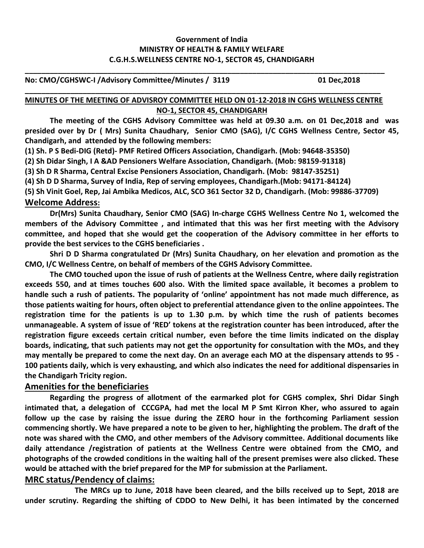## **Government of India MINISTRY OF HEALTH & FAMILY WELFARE C.G.H.S.WELLNESS CENTRE NO-1, SECTOR 45, CHANDIGARH**

#### **No: CMO/CGHSWC-I /Advisory Committee/Minutes / 3119 01 Dec,2018**

### **MINUTES OF THE MEETING OF ADVISROY COMMITTEE HELD ON 01-12-2018 IN CGHS WELLNESS CENTRE NO-1, SECTOR 45, CHANDIGARH**

**\_\_\_\_\_\_\_\_\_\_\_\_\_\_\_\_\_\_\_\_\_\_\_\_\_\_\_\_\_\_\_\_\_\_\_\_\_\_\_\_\_\_\_\_\_\_\_\_\_\_\_\_\_\_\_\_\_\_\_\_\_\_\_\_\_\_\_\_\_\_\_\_\_\_\_\_\_\_\_\_\_\_\_\_\_\_**

**\_\_\_\_\_\_\_\_\_\_\_\_\_\_\_\_\_\_\_\_\_\_\_\_\_\_\_\_\_\_\_\_\_\_\_\_\_\_\_\_\_\_\_\_\_\_\_\_\_\_\_\_\_\_\_\_\_\_\_\_\_\_\_\_\_\_\_\_\_\_\_\_\_\_\_\_\_\_\_\_\_\_\_\_\_\_\_**

**The meeting of the CGHS Advisory Committee was held at 09.30 a.m. on 01 Dec,2018 and was presided over by Dr ( Mrs) Sunita Chaudhary, Senior CMO (SAG), I/C CGHS Wellness Centre, Sector 45, Chandigarh, and attended by the following members:**

**(1) Sh. P S Bedi-DIG (Retd)- PMF Retired Officers Association, Chandigarh. (Mob: 94648-35350)**

**(2) Sh Didar Singh, I A &AD Pensioners Welfare Association, Chandigarh. (Mob: 98159-91318)**

**(3) Sh D R Sharma, Central Excise Pensioners Association, Chandigarh. (Mob: 98147-35251)**

**(4) Sh D D Sharma, Survey of India, Rep of serving employees, Chandigarh.(Mob: 94171-84124)**

**(5) Sh Vinit Goel, Rep, Jai Ambika Medicos, ALC, SCO 361 Sector 32 D, Chandigarh. (Mob: 99886-37709) Welcome Address:** 

**Dr(Mrs) Sunita Chaudhary, Senior CMO (SAG) In-charge CGHS Wellness Centre No 1, welcomed the members of the Advisory Committee , and intimated that this was her first meeting with the Advisory committee, and hoped that she would get the cooperation of the Advisory committee in her efforts to provide the best services to the CGHS beneficiaries .** 

**Shri D D Sharma congratulated Dr (Mrs) Sunita Chaudhary, on her elevation and promotion as the CMO, I/C Wellness Centre, on behalf of members of the CGHS Advisory Committee.**

**The CMO touched upon the issue of rush of patients at the Wellness Centre, where daily registration exceeds 550, and at times touches 600 also. With the limited space available, it becomes a problem to handle such a rush of patients. The popularity of 'online' appointment has not made much difference, as those patients waiting for hours, often object to preferential attendance given to the online appointees. The registration time for the patients is up to 1.30 p.m. by which time the rush of patients becomes unmanageable. A system of issue of 'RED' tokens at the registration counter has been introduced, after the registration figure exceeds certain critical number, even before the time limits indicated on the display boards, indicating, that such patients may not get the opportunity for consultation with the MOs, and they may mentally be prepared to come the next day. On an average each MO at the dispensary attends to 95 - 100 patients daily, which is very exhausting, and which also indicates the need for additional dispensaries in the Chandigarh Tricity region.**

### **Amenities for the beneficiaries**

**Regarding the progress of allotment of the earmarked plot for CGHS complex, Shri Didar Singh intimated that, a delegation of CCCGPA, had met the local M P Smt Kirron Kher, who assured to again follow up the case by raising the issue during the ZERO hour in the forthcoming Parliament session commencing shortly. We have prepared a note to be given to her, highlighting the problem. The draft of the note was shared with the CMO, and other members of the Advisory committee. Additional documents like daily attendance /registration of patients at the Wellness Centre were obtained from the CMO, and photographs of the crowded conditions in the waiting hall of the present premises were also clicked. These would be attached with the brief prepared for the MP for submission at the Parliament.**

## **MRC status/Pendency of claims:**

**The MRCs up to June, 2018 have been cleared, and the bills received up to Sept, 2018 are under scrutiny. Regarding the shifting of CDDO to New Delhi, it has been intimated by the concerned**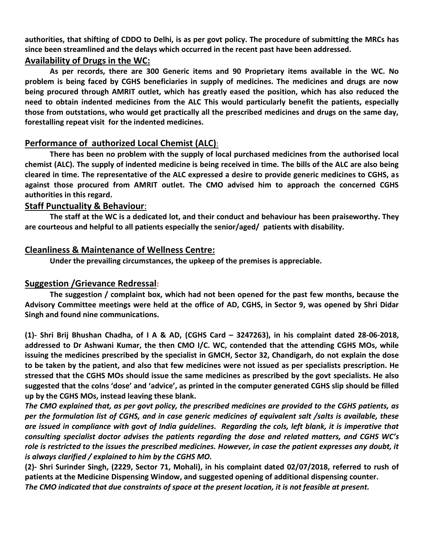**authorities, that shifting of CDDO to Delhi, is as per govt policy. The procedure of submitting the MRCs has since been streamlined and the delays which occurred in the recent past have been addressed.**

# **Availability of Drugs in the WC:**

**As per records, there are 300 Generic items and 90 Proprietary items available in the WC. No problem is being faced by CGHS beneficiaries in supply of medicines. The medicines and drugs are now being procured through AMRIT outlet, which has greatly eased the position, which has also reduced the need to obtain indented medicines from the ALC This would particularly benefit the patients, especially those from outstations, who would get practically all the prescribed medicines and drugs on the same day, forestalling repeat visit for the indented medicines.**

# **Performance of authorized Local Chemist (ALC)**:

**There has been no problem with the supply of local purchased medicines from the authorised local chemist (ALC). The supply of indented medicine is being received in time. The bills of the ALC are also being cleared in time. The representative of the ALC expressed a desire to provide generic medicines to CGHS, as against those procured from AMRIT outlet. The CMO advised him to approach the concerned CGHS authorities in this regard.**

### **Staff Punctuality & Behaviour**:

**The staff at the WC is a dedicated lot, and their conduct and behaviour has been praiseworthy. They are courteous and helpful to all patients especially the senior/aged/ patients with disability.**

## **Cleanliness & Maintenance of Wellness Centre:**

**Under the prevailing circumstances, the upkeep of the premises is appreciable.**

## **Suggestion /Grievance Redressal:**

**The suggestion / complaint box, which had not been opened for the past few months, because the Advisory Committee meetings were held at the office of AD, CGHS, in Sector 9, was opened by Shri Didar Singh and found nine communications.** 

**(1)- Shri Brij Bhushan Chadha, of I A & AD, (CGHS Card – 3247263), in his complaint dated 28-06-2018, addressed to Dr Ashwani Kumar, the then CMO I/C. WC, contended that the attending CGHS MOs, while issuing the medicines prescribed by the specialist in GMCH, Sector 32, Chandigarh, do not explain the dose to be taken by the patient, and also that few medicines were not issued as per specialists prescription. He stressed that the CGHS MOs should issue the same medicines as prescribed by the govt specialists. He also suggested that the colns 'dose' and 'advice', as printed in the computer generated CGHS slip should be filled up by the CGHS MOs, instead leaving these blank.**

*The CMO explained that, as per govt policy, the prescribed medicines are provided to the CGHS patients, as per the formulation list of CGHS, and in case generic medicines of equivalent salt /salts is available, these are issued in compliance with govt of India guidelines. Regarding the cols, left blank, it is imperative that consulting specialist doctor advises the patients regarding the dose and related matters, and CGHS WC's role is restricted to the issues the prescribed medicines. However, in case the patient expresses any doubt, it is always clarified / explained to him by the CGHS MO.*

**(2)- Shri Surinder Singh, (2229, Sector 71, Mohali), in his complaint dated 02/07/2018, referred to rush of patients at the Medicine Dispensing Window, and suggested opening of additional dispensing counter.**  *The CMO indicated that due constraints of space at the present location, it is not feasible at present.*